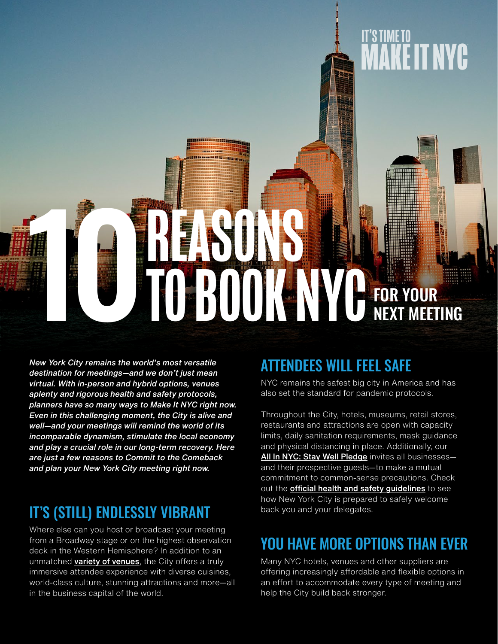

*New York City remains the world's most versatile destination for meetings—and we don't just mean virtual. With in-person and hybrid options, venues aplenty and rigorous health and safety protocols, planners have so many ways to Make It NYC right now. Even in this challenging moment, the City is alive and well—and your meetings will remind the world of its incomparable dynamism, stimulate the local economy and play a crucial role in our long-term recovery. Here are just a few reasons to Commit to the Comeback and plan your New York City meeting right now.*

# IT'S (STILL) ENDLESSLY VIBRANT

Where else can you host or broadcast your meeting from a Broadway stage or on the highest observation deck in the Western Hemisphere? In addition to an unmatched **[variety of venues](https://business.nycgo.com/meeting-planners/product-directory/)**, the City offers a truly immersive attendee experience with diverse cuisines, world-class culture, stunning attractions and more—all in the business capital of the world.

## ATTENDEES WILL FEEL SAFE

NYC remains the safest big city in America and has also set the standard for pandemic protocols.

Throughout the City, hotels, museums, retail stores, restaurants and attractions are open with capacity limits, daily sanitation requirements, mask guidance and physical distancing in place. Additionally, our [All In NYC: Stay Well Pledge](https://www.nycgo.com/coronavirus-information-and-resources-for-travelers/stay-well-nyc-take-the-pledge) invites all businessesand their prospective guests—to make a mutual commitment to common-sense precautions. Check out the **official health and safety quidelines** to see how New York City is prepared to safely welcome back you and your delegates.

## YOU HAVE MORE OPTIONS THAN EVER

Many NYC hotels, venues and other suppliers are offering increasingly affordable and flexible options in an effort to accommodate every type of meeting and help the City build back stronger.